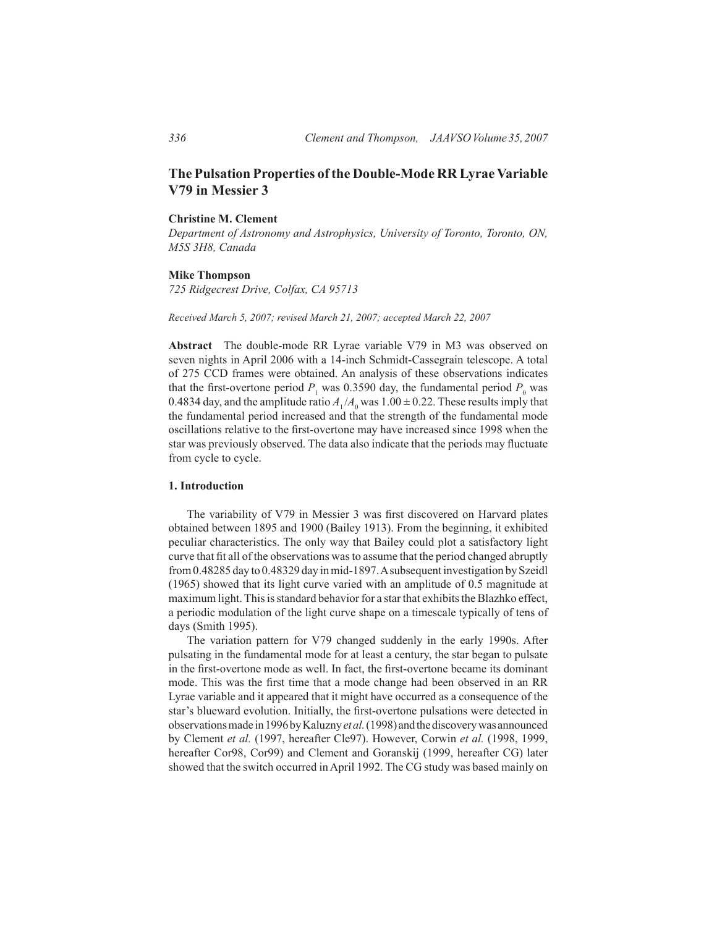# **The Pulsation Properties of the Double-Mode RR Lyrae Variable V79 in Messier 3**

# **Christine M. Clement**

*Department of Astronomy and Astrophysics, University of Toronto, Toronto, ON, M5S 3H8, Canada*

## **Mike Thompson**

*725 Ridgecrest Drive, Colfax, CA 95713*

*Received March 5, 2007; revised March 21, 2007; accepted March 22, 2007*

**Abstract** The double-mode RR Lyrae variable V79 in M3 was observed on seven nights in April 2006 with a 14-inch Schmidt-Cassegrain telescope. A total of 275 CCD frames were obtained. An analysis of these observations indicates that the first-overtone period  $P_1$  was 0.3590 day, the fundamental period  $P_0$  was 0.4834 day, and the amplitude ratio  $A_1 / A_0$  was  $1.00 \pm 0.22$ . These results imply that the fundamental period increased and that the strength of the fundamental mode oscillations relative to the first-overtone may have increased since 1998 when the star was previously observed. The data also indicate that the periods may fluctuate from cycle to cycle.

# **1. Introduction**

The variability of V79 in Messier 3 was first discovered on Harvard plates obtained between 1895 and 1900 (Bailey 1913). From the beginning, it exhibited peculiar characteristics. The only way that Bailey could plot a satisfactory light curve that fit all of the observations was to assume that the period changed abruptly from0.48285 day to 0.48329 day inmid-1897.Asubsequentinvestigation bySzeidl (1965) showed that its light curve varied with an amplitude of 0.5 magnitude at maximum light. This is standard behavior for a star that exhibits the Blazhko effect, a periodic modulation of the light curve shape on a timescale typically of tens of days (Smith 1995).

The variation pattern for V79 changed suddenly in the early 1990s. After pulsating in the fundamental mode for at least a century, the star began to pulsate in the first-overtone mode as well. In fact, the first-overtone became its dominant mode. This was the first time that a mode change had been observed in an RR Lyrae variable and it appeared that it might have occurred as a consequence of the star's blueward evolution. Initially, the first-overtone pulsations were detected in observationsmade in1996byKaluzny*et al.*(1998) andthediscoverywas announced by Clement *et al.* (1997, hereafter Cle97). However, Corwin *et al.* (1998, 1999, hereafter Cor98, Cor99) and Clement and Goranskij (1999, hereafter CG) later showed that the switch occurred inApril 1992. The CG study was based mainly on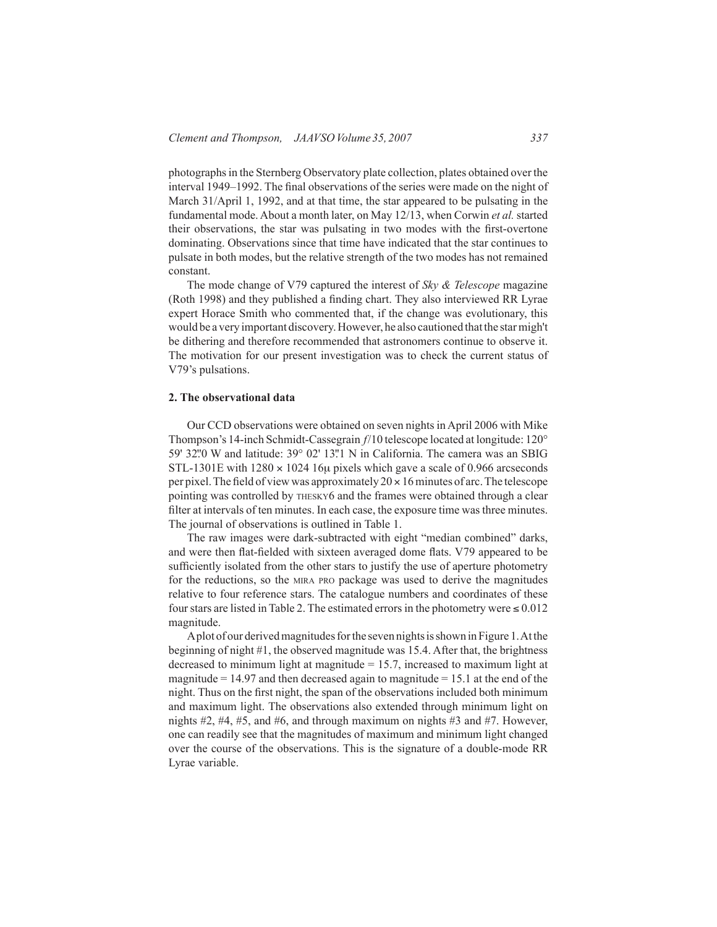photographsin the Sternberg Observatory plate collection, plates obtained over the interval 1949–1992. The final observations of the series were made on the night of March 31/April 1, 1992, and at that time, the star appeared to be pulsating in the fundamental mode.About a month later, on May 12/13, when Corwin *et al.* started their observations, the star was pulsating in two modes with the first-overtone dominating. Observations since that time have indicated that the star continues to pulsate in both modes, but the relative strength of the two modes has not remained constant.

The mode change of V79 captured the interest of *Sky & Telescope* magazine (Roth 1998) and they published a finding chart. They also interviewed RR Lyrae expert Horace Smith who commented that, if the change was evolutionary, this would be a very important discovery. However, he also cautioned that the star migh't be dithering and therefore recommended that astronomers continue to observe it. The motivation for our present investigation was to check the current status of V79's pulsations.

## **2. The observational data**

Our CCD observations were obtained on seven nights in April 2006 with Mike Thompson's 14-inch Schmidt-Cassegrain *f*/10 telescope located at longitude: 120° 59' 32".0 W and latitude:  $39^{\circ}$  02' 13".1 N in California. The camera was an SBIG STL-1301E with  $1280 \times 1024$  16µ pixels which gave a scale of 0.966 arcseconds per pixel. The field of view was approximately  $20 \times 16$  minutes of arc. The telescope pointing was controlled by thesky6 and the frames were obtained through a clear filter at intervals of ten minutes. In each case, the exposure time was three minutes. The journal of observations is outlined in Table 1.

The raw images were dark-subtracted with eight "median combined" darks, and were then flat-fielded with sixteen averaged dome flats. V79 appeared to be sufficiently isolated from the other stars to justify the use of aperture photometry for the reductions, so the mira pro package was used to derive the magnitudes relative to four reference stars. The catalogue numbers and coordinates of these four stars are listed in Table 2. The estimated errors in the photometry were  $\leq 0.012$ magnitude.

Aplot of our derived magnitudes for the seven nights is shown in Figure 1. At the beginning of night #1, the observed magnitude was 15.4. After that, the brightness decreased to minimum light at magnitude = 15.7, increased to maximum light at magnitude  $= 14.97$  and then decreased again to magnitude  $= 15.1$  at the end of the night. Thus on the first night, the span of the observations included both minimum and maximum light. The observations also extended through minimum light on nights #2, #4, #5, and #6, and through maximum on nights #3 and #7. However, one can readily see that the magnitudes of maximum and minimum light changed over the course of the observations. This is the signature of a double-mode RR Lyrae variable.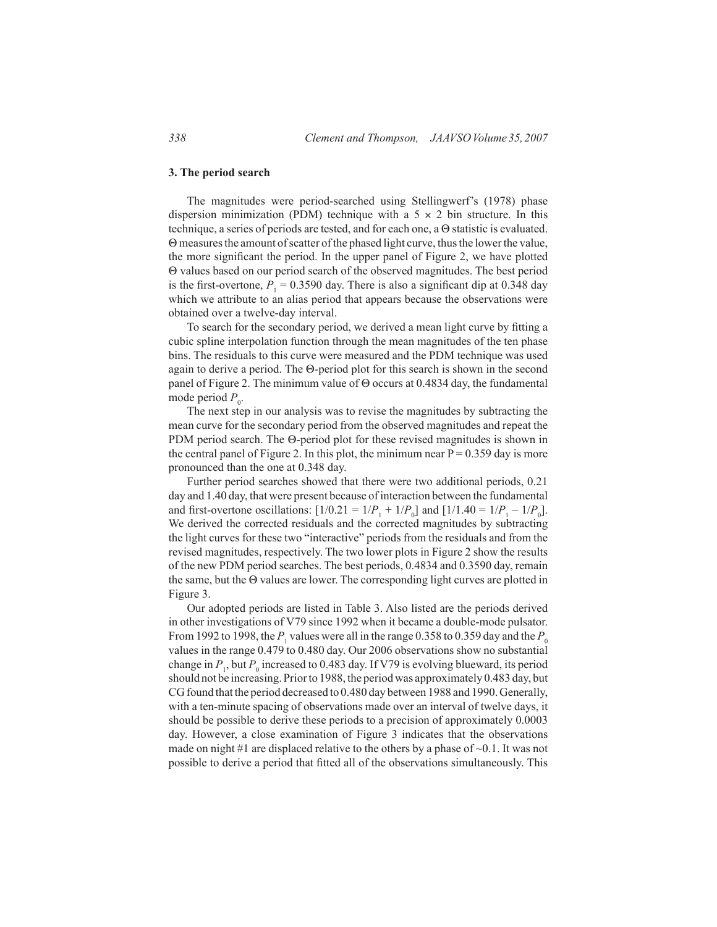## **3. The period search**

The magnitudes were period-searched using Stellingwerf's (1978) phase dispersion minimization (PDM) technique with a  $5 \times 2$  bin structure. In this technique, a series of periods are tested, and for each one, a Θ statistic is evaluated. Θ measures the amount of scatter of the phased light curve, thus the lower the value, the more significant the period. In the upper panel of Figure 2, we have plotted Θ values based on our period search of the observed magnitudes. The best period is the first-overtone,  $P_1 = 0.3590$  day. There is also a significant dip at 0.348 day which we attribute to an alias period that appears because the observations were obtained over a twelve-day interval.

To search for the secondary period, we derived a mean light curve by fitting a cubic spline interpolation function through the mean magnitudes of the ten phase bins. The residuals to this curve were measured and the PDM technique was used again to derive a period. The Θ-period plot for this search is shown in the second panel of Figure 2. The minimum value of Θ occurs at 0.4834 day, the fundamental mode period  $P_0$ .

The next step in our analysis was to revise the magnitudes by subtracting the mean curve for the secondary period from the observed magnitudes and repeat the PDM period search. The Θ-period plot for these revised magnitudes is shown in the central panel of Figure 2. In this plot, the minimum near  $P = 0.359$  day is more pronounced than the one at 0.348 day.

Further period searches showed that there were two additional periods, 0.21 day and 1.40 day, that were present because of interaction between the fundamental and first-overtone oscillations:  $[1/0.21 = 1/P_1 + 1/P_0]$  and  $[1/1.40 = 1/P_1 - 1/P_0]$ . We derived the corrected residuals and the corrected magnitudes by subtracting the light curves for these two "interactive" periods from the residuals and from the revised magnitudes, respectively. The two lower plots in Figure 2 show the results of the new PDM period searches. The best periods, 0.4834 and 0.3590 day, remain the same, but the Θ values are lower. The corresponding light curves are plotted in Figure 3.

Our adopted periods are listed in Table 3. Also listed are the periods derived in other investigations of V79 since 1992 when it became a double-mode pulsator. From 1992 to 1998, the  $P_1$  values were all in the range 0.358 to 0.359 day and the  $P_0$ values in the range 0.479 to 0.480 day. Our 2006 observations show no substantial change in  $P_1$ , but  $P_0$  increased to 0.483 day. If V79 is evolving blueward, its period should not be increasing. Priorto 1988, the periodwas approximately 0.483 day, but CGfound that the period decreased to 0.480 day between 1988 and 1990.Generally, with a ten-minute spacing of observations made over an interval of twelve days, it should be possible to derive these periods to a precision of approximately 0.0003 day. However, a close examination of Figure 3 indicates that the observations made on night #1 are displaced relative to the others by a phase of  $\sim 0.1$ . It was not possible to derive a period that fitted all of the observations simultaneously. This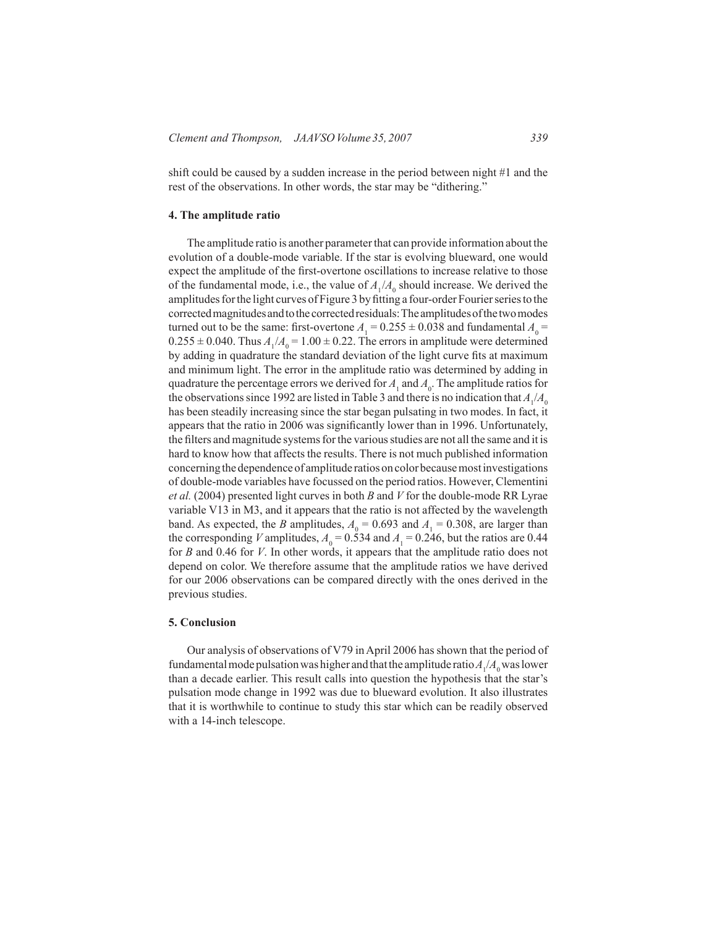shift could be caused by a sudden increase in the period between night #1 and the rest of the observations. In other words, the star may be "dithering."

#### **4. The amplitude ratio**

The amplitude ratio is another parameter that can provide information about the evolution of a double-mode variable. If the star is evolving blueward, one would expect the amplitude of the first-overtone oscillations to increase relative to those of the fundamental mode, i.e., the value of  $A_1/A_0$  should increase. We derived the amplitudes for the light curves of Figure 3 by fitting a four-order Fourier series to the corrected magnitudes and to the corrected residuals: The amplitudes of the two modes turned out to be the same: first-overtone  $A_1 = 0.255 \pm 0.038$  and fundamental  $A_0 =$  $0.255 \pm 0.040$ . Thus  $A_1/A_0 = 1.00 \pm 0.22$ . The errors in amplitude were determined by adding in quadrature the standard deviation of the light curve fits at maximum and minimum light. The error in the amplitude ratio was determined by adding in quadrature the percentage errors we derived for  $A_1$  and  $A_0$ . The amplitude ratios for the observations since 1992 are listed in Table 3 and there is no indication that  $A_1/A_0$ has been steadily increasing since the star began pulsating in two modes. In fact, it appears that the ratio in 2006 was significantly lower than in 1996. Unfortunately, the filters and magnitude systems for the various studies are not all the same and it is hard to know how that affects the results. There is not much published information concerning the dependence of amplitude ratios on color because most investigations of double-mode variables have focussed on the period ratios. However, Clementini *et al.* (2004) presented light curves in both *B* and *V* for the double-mode RR Lyrae variable V13 in M3, and it appears that the ratio is not affected by the wavelength band. As expected, the *B* amplitudes,  $A_0 = 0.693$  and  $A_1 = 0.308$ , are larger than the corresponding *V* amplitudes,  $A_0 = 0.534$  and  $A_1 = 0.246$ , but the ratios are 0.44 for *B* and 0.46 for *V*. In other words, it appears that the amplitude ratio does not depend on color. We therefore assume that the amplitude ratios we have derived for our 2006 observations can be compared directly with the ones derived in the previous studies.

#### **5. Conclusion**

Our analysis of observations of V79 inApril 2006 has shown that the period of fundamental mode pulsation was higher and that the amplitude ratio  $A_1/A_0$  was lower than a decade earlier. This result calls into question the hypothesis that the star's pulsation mode change in 1992 was due to blueward evolution. It also illustrates that it is worthwhile to continue to study this star which can be readily observed with a 14-inch telescope.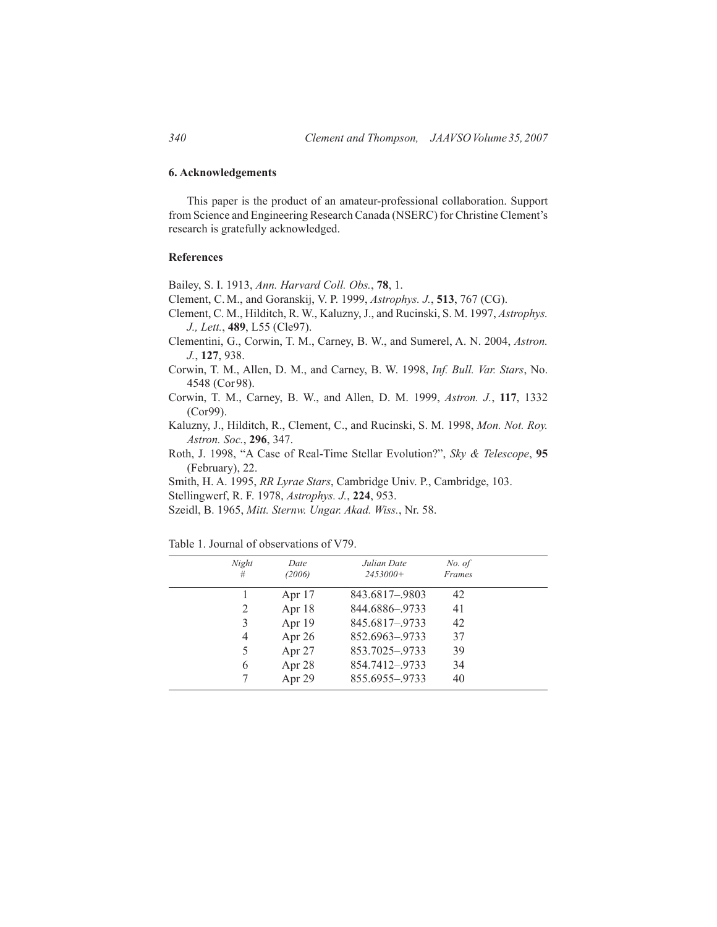# **6. Acknowledgements**

This paper is the product of an amateur-professional collaboration. Support from Science and Engineering Research Canada (NSERC) for Christine Clement's research is gratefully acknowledged.

# **References**

Bailey, S. I. 1913, *Ann. Harvard Coll. Obs.*, **78**, 1.

- Clement, C. M., and Goranskij, V. P. 1999, *Astrophys. J.*, **513**, 767 (CG).
- Clement, C. M., Hilditch, R. W., Kaluzny, J., and Rucinski, S. M. 1997, *Astrophys. J., Lett.*, **489**, L55 (Cle97).
- Clementini, G., Corwin, T. M., Carney, B. W., and Sumerel, A. N. 2004, *Astron. J.*, **127**, 938.
- Corwin, T. M., Allen, D. M., and Carney, B. W. 1998, *Inf. Bull. Var. Stars*, No. 4548 (Cor98).
- Corwin, T. M., Carney, B. W., and Allen, D. M. 1999, *Astron. J.*, **117**, 1332 (Cor99).
- Kaluzny, J., Hilditch, R., Clement, C., and Rucinski, S. M. 1998, *Mon. Not. Roy. Astron. Soc.*, **296**, 347.
- Roth, J. 1998, "A Case of Real-Time Stellar Evolution?", *Sky & Telescope*, **95** (February), 22.

Smith, H. A. 1995, *RR Lyrae Stars*, Cambridge Univ. P., Cambridge, 103.

- Stellingwerf, R. F. 1978, *Astrophys. J.*, **224**, 953.
- Szeidl, B. 1965, *Mitt. Sternw. Ungar. Akad. Wiss.*, Nr. 58.

| Night<br>Date<br>(2006)<br># | Julian Date<br>No. of<br>$2453000+$<br><b>Frames</b> |  |
|------------------------------|------------------------------------------------------|--|
| Apr $17$                     | 843.6817-.9803<br>42                                 |  |
| Apr $18$<br>2                | 844.6886-.9733<br>41                                 |  |
| Apr 19<br>3                  | 845.6817-.9733<br>42                                 |  |
| Apr 26<br>4                  | 852.6963-.9733<br>37                                 |  |
| Apr 27<br>5                  | 853.7025-.9733<br>39                                 |  |
| Apr 28<br>6                  | 854.7412-.9733<br>34                                 |  |
| Apr 29                       | 855.6955-.9733<br>40                                 |  |

Table 1. Journal of observations of V79.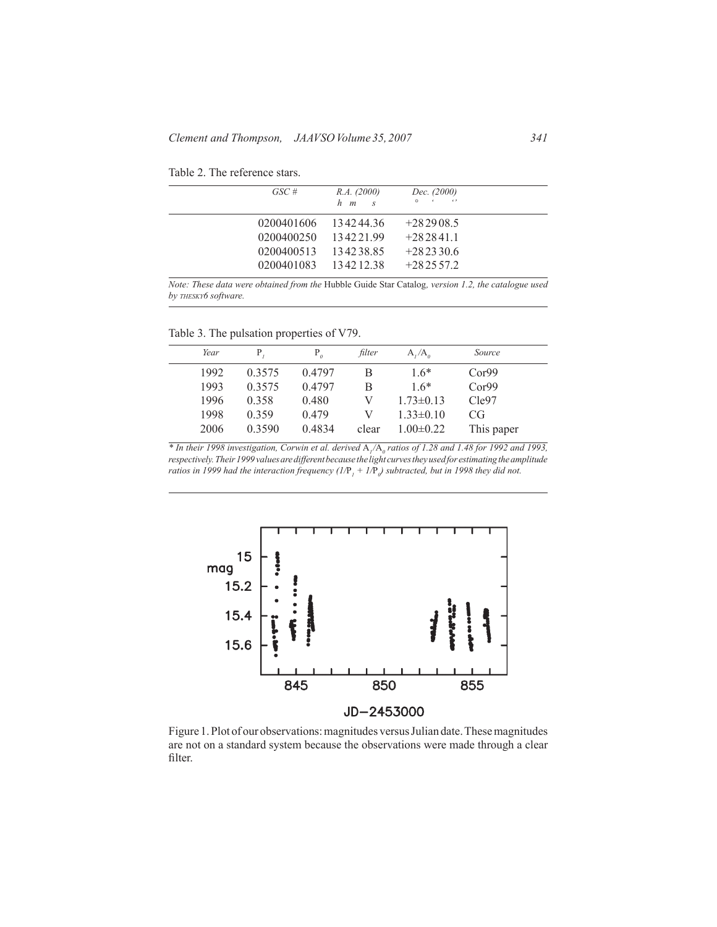| GSC# | R.A. (2000)          | Dec. (2000) |  |
|------|----------------------|-------------|--|
|      | $h$ $m$ $s$          |             |  |
|      | 0200401606 134244.36 | $+282908.5$ |  |
|      | 0200400250 13422199  | $+2828411$  |  |
|      | 0200400513 134238.85 | $+282330.6$ |  |

Table 2. The reference stars.

*Note: These data were obtained from the* Hubble Guide Star Catalog*, version 1.2, the catalogue used by thesky6 software.*

0200401083 134212.38 +282557.2

Table 3. The pulsation properties of V79.

| Year |        |        | filter | $A, /A_{\alpha}$ | Source     |  |
|------|--------|--------|--------|------------------|------------|--|
| 1992 | 0.3575 | 0.4797 | В      | $1.6*$           | Cor99      |  |
| 1993 | 0.3575 | 0.4797 | R      | $16*$            | Cor99      |  |
| 1996 | 0.358  | 0.480  | V      | $1.73 \pm 0.13$  | Cle97      |  |
| 1998 | 0.359  | 0.479  | V      | $1.33 \pm 0.10$  | CG         |  |
| 2006 | 0.3590 | 0.4834 | clear  | $1.00 \pm 0.22$  | This paper |  |
|      |        |        |        |                  |            |  |

*\* In their 1998 investigation, Corwin et al. derived* A*1/*A*<sup>0</sup> ratios of 1.28 and 1.48 for 1992 and 1993, respectively. Their 1999 values are different because the light curves they used for estimating the amplitude ratios in 1999 had the interaction frequency (1/*P*<sup>1</sup> + 1/*P*<sup>0</sup> ) subtracted, but in 1998 they did not.*



Figure 1. Plot of our observations: magnitudes versus Julian date. These magnitudes are not on a standard system because the observations were made through a clear filter.